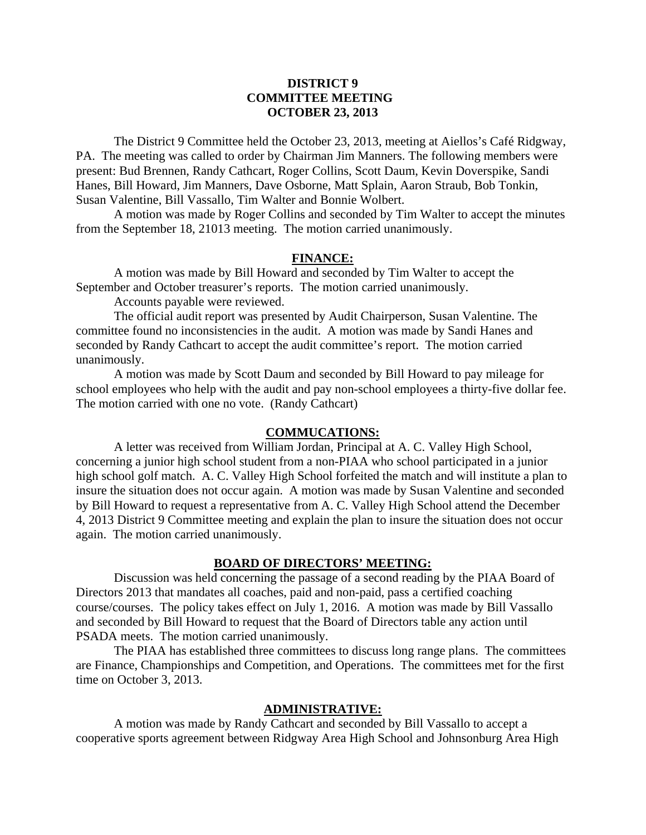## **DISTRICT 9 COMMITTEE MEETING OCTOBER 23, 2013**

 The District 9 Committee held the October 23, 2013, meeting at Aiellos's Café Ridgway, PA. The meeting was called to order by Chairman Jim Manners. The following members were present: Bud Brennen, Randy Cathcart, Roger Collins, Scott Daum, Kevin Doverspike, Sandi Hanes, Bill Howard, Jim Manners, Dave Osborne, Matt Splain, Aaron Straub, Bob Tonkin, Susan Valentine, Bill Vassallo, Tim Walter and Bonnie Wolbert.

 A motion was made by Roger Collins and seconded by Tim Walter to accept the minutes from the September 18, 21013 meeting. The motion carried unanimously.

### **FINANCE:**

A motion was made by Bill Howard and seconded by Tim Walter to accept the September and October treasurer's reports. The motion carried unanimously.

Accounts payable were reviewed.

 The official audit report was presented by Audit Chairperson, Susan Valentine. The committee found no inconsistencies in the audit. A motion was made by Sandi Hanes and seconded by Randy Cathcart to accept the audit committee's report. The motion carried unanimously.

 A motion was made by Scott Daum and seconded by Bill Howard to pay mileage for school employees who help with the audit and pay non-school employees a thirty-five dollar fee. The motion carried with one no vote. (Randy Cathcart)

### **COMMUCATIONS:**

 A letter was received from William Jordan, Principal at A. C. Valley High School, concerning a junior high school student from a non-PIAA who school participated in a junior high school golf match. A. C. Valley High School forfeited the match and will institute a plan to insure the situation does not occur again. A motion was made by Susan Valentine and seconded by Bill Howard to request a representative from A. C. Valley High School attend the December 4, 2013 District 9 Committee meeting and explain the plan to insure the situation does not occur again. The motion carried unanimously.

#### **BOARD OF DIRECTORS' MEETING:**

 Discussion was held concerning the passage of a second reading by the PIAA Board of Directors 2013 that mandates all coaches, paid and non-paid, pass a certified coaching course/courses. The policy takes effect on July 1, 2016. A motion was made by Bill Vassallo and seconded by Bill Howard to request that the Board of Directors table any action until PSADA meets. The motion carried unanimously.

 The PIAA has established three committees to discuss long range plans. The committees are Finance, Championships and Competition, and Operations. The committees met for the first time on October 3, 2013.

#### **ADMINISTRATIVE:**

 A motion was made by Randy Cathcart and seconded by Bill Vassallo to accept a cooperative sports agreement between Ridgway Area High School and Johnsonburg Area High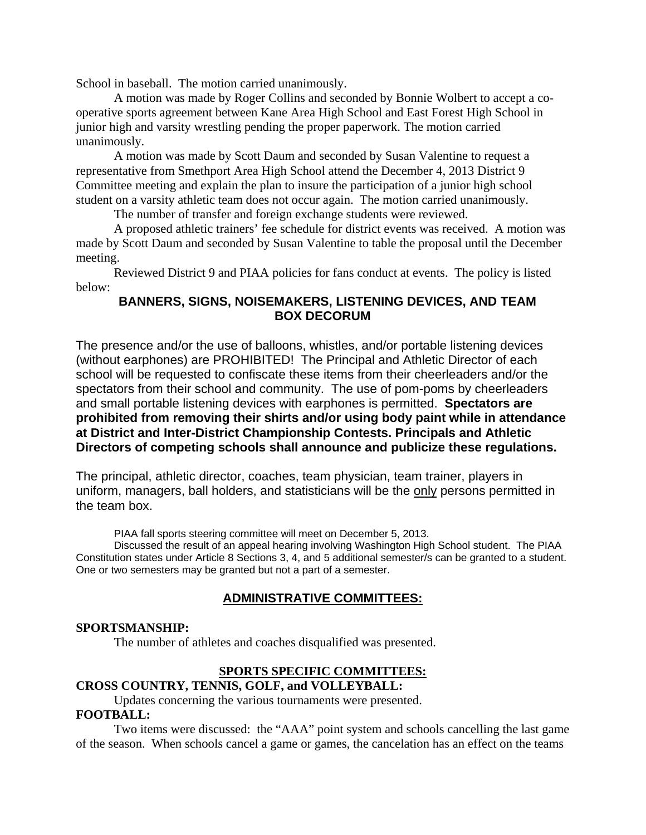School in baseball. The motion carried unanimously.

A motion was made by Roger Collins and seconded by Bonnie Wolbert to accept a cooperative sports agreement between Kane Area High School and East Forest High School in junior high and varsity wrestling pending the proper paperwork. The motion carried unanimously.

 A motion was made by Scott Daum and seconded by Susan Valentine to request a representative from Smethport Area High School attend the December 4, 2013 District 9 Committee meeting and explain the plan to insure the participation of a junior high school student on a varsity athletic team does not occur again. The motion carried unanimously.

The number of transfer and foreign exchange students were reviewed.

 A proposed athletic trainers' fee schedule for district events was received. A motion was made by Scott Daum and seconded by Susan Valentine to table the proposal until the December meeting.

 Reviewed District 9 and PIAA policies for fans conduct at events. The policy is listed below:

# **BANNERS, SIGNS, NOISEMAKERS, LISTENING DEVICES, AND TEAM BOX DECORUM**

The presence and/or the use of balloons, whistles, and/or portable listening devices (without earphones) are PROHIBITED! The Principal and Athletic Director of each school will be requested to confiscate these items from their cheerleaders and/or the spectators from their school and community. The use of pom-poms by cheerleaders and small portable listening devices with earphones is permitted. **Spectators are prohibited from removing their shirts and/or using body paint while in attendance at District and Inter-District Championship Contests. Principals and Athletic Directors of competing schools shall announce and publicize these regulations.**

The principal, athletic director, coaches, team physician, team trainer, players in uniform, managers, ball holders, and statisticians will be the only persons permitted in the team box.

PIAA fall sports steering committee will meet on December 5, 2013.

 Discussed the result of an appeal hearing involving Washington High School student. The PIAA Constitution states under Article 8 Sections 3, 4, and 5 additional semester/s can be granted to a student. One or two semesters may be granted but not a part of a semester.

# **ADMINISTRATIVE COMMITTEES:**

## **SPORTSMANSHIP:**

The number of athletes and coaches disqualified was presented.

## **SPORTS SPECIFIC COMMITTEES:**

## **CROSS COUNTRY, TENNIS, GOLF, and VOLLEYBALL:**

Updates concerning the various tournaments were presented.

## **FOOTBALL:**

Two items were discussed: the "AAA" point system and schools cancelling the last game of the season. When schools cancel a game or games, the cancelation has an effect on the teams